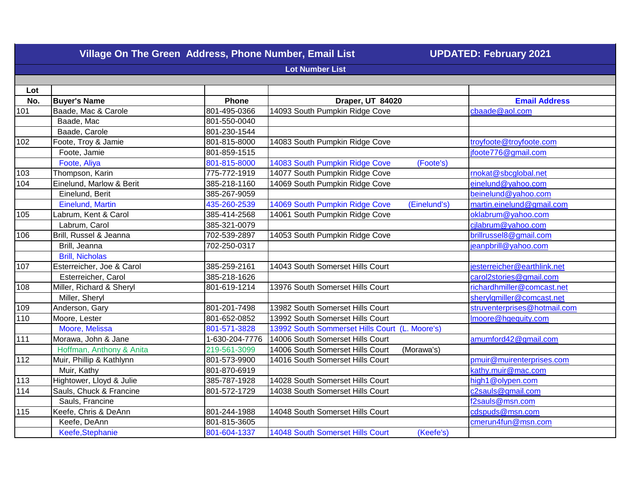|                        | Village On The Green Address, Phone Number, Email List |                |                                                | <b>UPDATED: February 2021</b> |  |
|------------------------|--------------------------------------------------------|----------------|------------------------------------------------|-------------------------------|--|
| <b>Lot Number List</b> |                                                        |                |                                                |                               |  |
|                        |                                                        |                |                                                |                               |  |
| Lot                    |                                                        |                |                                                |                               |  |
| No.                    | <b>Buyer's Name</b>                                    | Phone          | Draper, UT 84020                               | <b>Email Address</b>          |  |
| 101                    | Baade, Mac & Carole                                    | 801-495-0366   | 14093 South Pumpkin Ridge Cove                 | cbaade@aol.com                |  |
|                        | Baade, Mac                                             | 801-550-0040   |                                                |                               |  |
|                        | Baade, Carole                                          | 801-230-1544   |                                                |                               |  |
| 102                    | Foote, Troy & Jamie                                    | 801-815-8000   | 14083 South Pumpkin Ridge Cove                 | troyfoote@troyfoote.com       |  |
|                        | Foote, Jamie                                           | 801-859-1515   |                                                | jfoote776@gmail.com           |  |
|                        | Foote, Aliya                                           | 801-815-8000   | 14083 South Pumpkin Ridge Cove<br>(Foote's)    |                               |  |
| 103                    | Thompson, Karin                                        | 775-772-1919   | 14077 South Pumpkin Ridge Cove                 | rnokat@sbcglobal.net          |  |
| 104                    | Einelund, Marlow & Berit                               | 385-218-1160   | 14069 South Pumpkin Ridge Cove                 | einelund@yahoo.com            |  |
|                        | Einelund, Berit                                        | 385-267-9059   |                                                | beinelund@yahoo.com           |  |
|                        | Einelund, Martin                                       | 435-260-2539   | 14069 South Pumpkin Ridge Cove<br>(Einelund's) | martin.einelund@gmail.com     |  |
| 105                    | Labrum, Kent & Carol                                   | 385-414-2568   | 14061 South Pumpkin Ridge Cove                 | oklabrum@yahoo.com            |  |
|                        | Labrum, Carol                                          | 385-321-0079   |                                                | cilabrum@yahoo.com            |  |
| 106                    | Brill, Russel & Jeanna                                 | 702-539-2897   | 14053 South Pumpkin Ridge Cove                 | brillrussel8@gmail.com        |  |
|                        | Brill, Jeanna                                          | 702-250-0317   |                                                | jeanpbrill@yahoo.com          |  |
|                        | <b>Brill, Nicholas</b>                                 |                |                                                |                               |  |
| 107                    | Esterreicher, Joe & Carol                              | 385-259-2161   | 14043 South Somerset Hills Court               | jesterreicher@earthlink.net   |  |
|                        | Esterreicher, Carol                                    | 385-218-1626   |                                                | carol2stories@gmail.com       |  |
| 108                    | Miller, Richard & Sheryl                               | 801-619-1214   | 13976 South Somerset Hills Court               | richardhmiller@comcast.net    |  |
|                        | Miller, Sheryl                                         |                |                                                | sherylgmiller@comcast.net     |  |
| 109                    | Anderson, Gary                                         | 801-201-7498   | 13982 South Somerset Hills Court               | struventerprises@hotmail.com  |  |
| 110                    | Moore, Lester                                          | 801-652-0852   | 13992 South Somerset Hills Court               | Imoore@hgequity.com           |  |
|                        | Moore, Melissa                                         | 801-571-3828   | 13992 South Sommerset Hills Court (L. Moore's) |                               |  |
| $111$                  | Morawa, John & Jane                                    | 1-630-204-7776 | 14006 South Somerset Hills Court               | amumford42@gmail.com          |  |
|                        | Hoffman, Anthony & Anita                               | 219-561-3099   | 14006 South Somerset Hills Court<br>(Morawa's) |                               |  |
| $\frac{112}{2}$        | Muir, Phillip & Kathlynn                               | 801-573-9900   | 14016 South Somerset Hills Court               | pmuir@muirenterprises.com     |  |
|                        | Muir, Kathy                                            | 801-870-6919   |                                                | kathy.muir@mac.com            |  |
| 113                    | Hightower, Lloyd & Julie                               | 385-787-1928   | 14028 South Somerset Hills Court               | high1@olypen.com              |  |
| 114                    | Sauls, Chuck & Francine                                | 801-572-1729   | 14038 South Somerset Hills Court               | c2sauls@gmail.com             |  |
|                        | Sauls, Francine                                        |                |                                                | f2sauls@msn.com               |  |
| 115                    | Keefe, Chris & DeAnn                                   | 801-244-1988   | 14048 South Somerset Hills Court               | cdspuds@msn.com               |  |
|                        | Keefe, DeAnn                                           | 801-815-3605   |                                                | cmerun4fun@msn.com            |  |
|                        | Keefe, Stephanie                                       | 801-604-1337   | 14048 South Somerset Hills Court<br>(Keefe's)  |                               |  |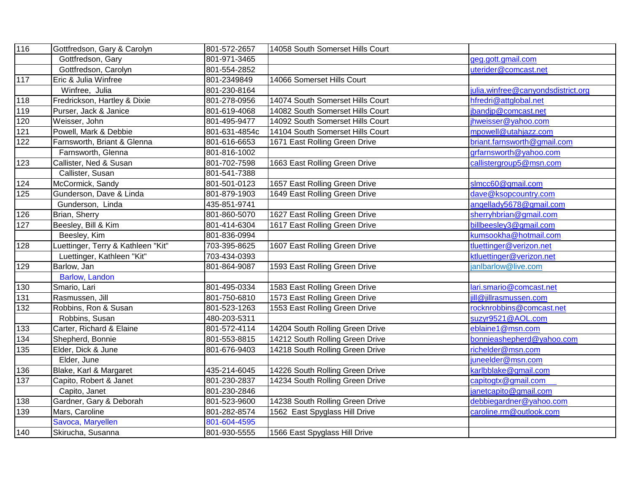| 116 | Gottfredson, Gary & Carolyn        | 801-572-2657  | 14058 South Somerset Hills Court |                                    |
|-----|------------------------------------|---------------|----------------------------------|------------------------------------|
|     | Gottfredson, Gary                  | 801-971-3465  |                                  | geg.gott.gmail.com                 |
|     | Gottfredson, Carolyn               | 801-554-2852  |                                  | uterider@comcast.net               |
| 117 | Eric & Julia Winfree               | 801-2349849   | 14066 Somerset Hills Court       |                                    |
|     | Winfree, Julia                     | 801-230-8164  |                                  | julia.winfree@canyondsdistrict.org |
| 118 | Fredrickson, Hartley & Dixie       | 801-278-0956  | 14074 South Somerset Hills Court | hfredri@attglobal.net              |
| 119 | Purser, Jack & Janice              | 801-619-4068  | 14082 South Somerset Hills Court | jbandjp@comcast.net                |
| 120 | Weisser, John                      | 801-495-9477  | 14092 South Somerset Hills Court | jhweisser@yahoo.com                |
| 121 | Powell, Mark & Debbie              | 801-631-4854c | 14104 South Somerset Hills Court | mpowell@utahjazz.com               |
| 122 | Farnsworth, Briant & Glenna        | 801-616-6653  | 1671 East Rolling Green Drive    | briant.farnsworth@gmail.com        |
|     | Farnsworth, Glenna                 | 801-816-1002  |                                  | grfarnsworth@yahoo.com             |
| 123 | Callister, Ned & Susan             | 801-702-7598  | 1663 East Rolling Green Drive    | callistergroup5@msn.com            |
|     | Callister, Susan                   | 801-541-7388  |                                  |                                    |
| 124 | McCormick, Sandy                   | 801-501-0123  | 1657 East Rolling Green Drive    | slmcc60@gmail.com                  |
| 125 | Gunderson, Dave & Linda            | 801-879-1903  | 1649 East Rolling Green Drive    | dave@ksopcountry.com               |
|     | Gunderson, Linda                   | 435-851-9741  |                                  | angellady5678@gmail.com            |
| 126 | Brian, Sherry                      | 801-860-5070  | 1627 East Rolling Green Drive    | sherryhbrian@gmail.com             |
| 127 | Beesley, Bill & Kim                | 801-414-6304  | 1617 East Rolling Green Drive    | billbeesley3@gmail.com             |
|     | Beesley, Kim                       | 801-836-0994  |                                  | kumsookha@hotmail.com              |
| 128 | Luettinger, Terry & Kathleen "Kit" | 703-395-8625  | 1607 East Rolling Green Drive    | tluettinger@verizon.net            |
|     | Luettinger, Kathleen "Kit"         | 703-434-0393  |                                  | ktluettinger@verizon.net           |
| 129 | Barlow, Jan                        | 801-864-9087  | 1593 East Rolling Green Drive    | janlbarlow@live.com                |
|     | Barlow, Landon                     |               |                                  |                                    |
| 130 | Smario, Lari                       | 801-495-0334  | 1583 East Rolling Green Drive    | lari.smario@comcast.net            |
| 131 | Rasmussen, Jill                    | 801-750-6810  | 1573 East Rolling Green Drive    | ill@jillrasmussen.com              |
| 132 | Robbins, Ron & Susan               | 801-523-1263  | 1553 East Rolling Green Drive    | rocknrobbins@comcast.net           |
|     | Robbins, Susan                     | 480-203-5311  |                                  | suzyr9521@AOL.com                  |
| 133 | Carter, Richard & Elaine           | 801-572-4114  | 14204 South Rolling Green Drive  | eblaine1@msn.com                   |
| 134 | Shepherd, Bonnie                   | 801-553-8815  | 14212 South Rolling Green Drive  | bonnieashepherd@yahoo.com          |
| 135 | Elder, Dick & June                 | 801-676-9403  | 14218 South Rolling Green Drive  | richelder@msn.com                  |
|     | Elder, June                        |               |                                  | juneelder@msn.com                  |
| 136 | Blake, Karl & Margaret             | 435-214-6045  | 14226 South Rolling Green Drive  | karlbblake@gmail.com               |
| 137 | Capito, Robert & Janet             | 801-230-2837  | 14234 South Rolling Green Drive  | capitogtx@gmail.com                |
|     | Capito, Janet                      | 801-230-2846  |                                  | janetcapito@gmail.com              |
| 138 | Gardner, Gary & Deborah            | 801-523-9600  | 14238 South Rolling Green Drive  | debbiegardner@yahoo.com            |
| 139 | Mars, Caroline                     | 801-282-8574  | 1562 East Spyglass Hill Drive    | caroline.rm@outlook.com            |
|     | Savoca, Maryellen                  | 801-604-4595  |                                  |                                    |
| 140 | Skirucha, Susanna                  | 801-930-5555  | 1566 East Spyglass Hill Drive    |                                    |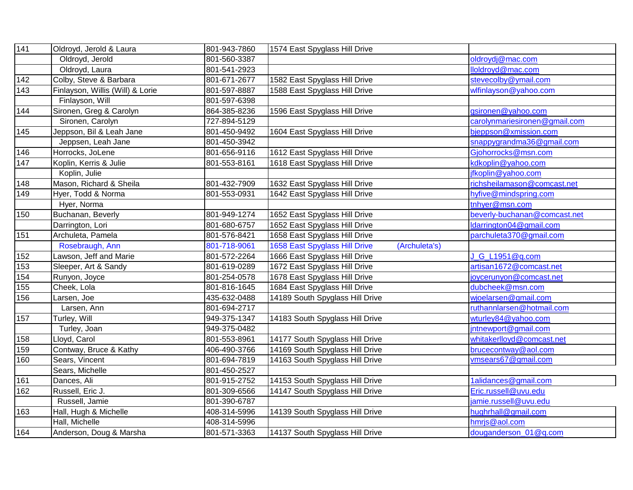| 141 | Oldroyd, Jerold & Laura          | 801-943-7860 | 1574 East Spyglass Hill Drive                  |                               |
|-----|----------------------------------|--------------|------------------------------------------------|-------------------------------|
|     | Oldroyd, Jerold                  | 801-560-3387 |                                                | oldroydj@mac.com              |
|     | Oldroyd, Laura                   | 801-541-2923 |                                                | lloldroyd@mac.com             |
| 142 | Colby, Steve & Barbara           | 801-671-2677 | 1582 East Spyglass Hill Drive                  | stevecolby@ymail.com          |
| 143 | Finlayson, Willis (Will) & Lorie | 801-597-8887 | 1588 East Spyglass Hill Drive                  | wlfinlayson@yahoo.com         |
|     | Finlayson, Will                  | 801-597-6398 |                                                |                               |
| 144 | Sironen, Greg & Carolyn          | 864-385-8236 | 1596 East Spyglass Hill Drive                  | gsironen@yahoo.com            |
|     | Sironen, Carolyn                 | 727-894-5129 |                                                | carolynmariesironen@gmail.com |
| 145 | Jeppson, Bil & Leah Jane         | 801-450-9492 | 1604 East Spyglass Hill Drive                  | bjeppson@xmission.com         |
|     | Jeppsen, Leah Jane               | 801-450-3942 |                                                | snappygrandma36@gmail.com     |
| 146 | Horrocks, JoLene                 | 801-656-9116 | 1612 East Spyglass Hill Drive                  | Gjohorrocks@msn.com           |
| 147 | Koplin, Kerris & Julie           | 801-553-8161 | 1618 East Spyglass Hill Drive                  | kdkoplin@yahoo.com            |
|     | Koplin, Julie                    |              |                                                | jfkoplin@yahoo.com            |
| 148 | Mason, Richard & Sheila          | 801-432-7909 | 1632 East Spyglass Hill Drive                  | richsheilamason@comcast.net   |
| 149 | Hyer, Todd & Norma               | 801-553-0931 | 1642 East Spyglass Hill Drive                  | hyfive@mindspring.com         |
|     | Hyer, Norma                      |              |                                                | tnhyer@msn.com                |
| 150 | Buchanan, Beverly                | 801-949-1274 | 1652 East Spyglass Hill Drive                  | beverly-buchanan@comcast.net  |
|     | Darrington, Lori                 | 801-680-6757 | 1652 East Spyglass Hill Drive                  | Idarrington04@gmail.com       |
| 151 | Archuleta, Pamela                | 801-576-8421 | 1658 East Spyglass Hill Drive                  | parchuleta370@gmail.com       |
|     | Rosebraugh, Ann                  | 801-718-9061 | 1658 East Spyglass Hill Drive<br>(Archuleta's) |                               |
| 152 | Lawson, Jeff and Marie           | 801-572-2264 | 1666 East Spyglass Hill Drive                  | J_G_L1951@q.com               |
| 153 | Sleeper, Art & Sandy             | 801-619-0289 | 1672 East Spyglass Hill Drive                  | artisan1672@comcast.net       |
| 154 | Runyon, Joyce                    | 801-254-0578 | 1678 East Spyglass Hill Drive                  | joycerunyon@comcast.net       |
| 155 | Cheek, Lola                      | 801-816-1645 | 1684 East Spyglass Hill Drive                  | dubcheek@msn.com              |
| 156 | Larsen, Joe                      | 435-632-0488 | 14189 South Spyglass Hill Drive                | wjoelarsen@gmail.com          |
|     | Larsen, Ann                      | 801-694-2717 |                                                | ruthannlarsen@hotmail.com     |
| 157 | Turley, Will                     | 949-375-1347 | 14183 South Spyglass Hill Drive                | wturley84@yahoo.com           |
|     | Turley, Joan                     | 949-375-0482 |                                                | intnewport@gmail.com          |
| 158 | Lloyd, Carol                     | 801-553-8961 | 14177 South Spyglass Hill Drive                | whitakerlloyd@comcast.net     |
| 159 | Contway, Bruce & Kathy           | 406-490-3766 | 14169 South Spyglass Hill Drive                | brucecontway@aol.com          |
| 160 | Sears, Vincent                   | 801-694-7819 | 14163 South Spyglass Hill Drive                | vmsears67@gmail.com           |
|     | Sears, Michelle                  | 801-450-2527 |                                                |                               |
| 161 | Dances, Ali                      | 801-915-2752 | 14153 South Spyglass Hill Drive                | 1alidances@gmail.com          |
| 162 | Russell, Eric J.                 | 801-309-6566 | 14147 South Spyglass Hill Drive                | Eric.russell@uvu.edu          |
|     | Russell, Jamie                   | 801-390-6787 |                                                | jamie.russell@uvu.edu         |
| 163 | Hall, Hugh & Michelle            | 408-314-5996 | 14139 South Spyglass Hill Drive                | hughrhall@gmail.com           |
|     | Hall, Michelle                   | 408-314-5996 |                                                | hmrjs@aol.com                 |
| 164 | Anderson, Doug & Marsha          | 801-571-3363 | 14137 South Spyglass Hill Drive                | douganderson 01@q.com         |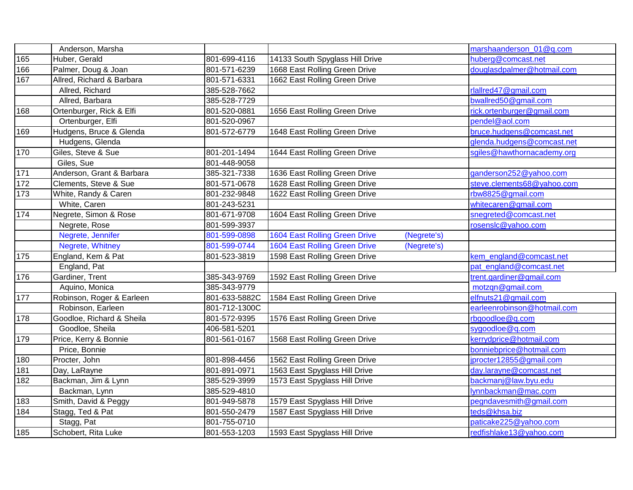|       | Anderson, Marsha          |               |                                                     | marshaanderson_01@q.com     |
|-------|---------------------------|---------------|-----------------------------------------------------|-----------------------------|
| 165   | Huber, Gerald             | 801-699-4116  | 14133 South Spyglass Hill Drive                     | huberg@comcast.net          |
| 166   | Palmer, Doug & Joan       | 801-571-6239  | 1668 East Rolling Green Drive                       | douglasdpalmer@hotmail.com  |
| 167   | Allred, Richard & Barbara | 801-571-6331  | 1662 East Rolling Green Drive                       |                             |
|       | Allred, Richard           | 385-528-7662  |                                                     | rlallred47@gmail.com        |
|       | Allred, Barbara           | 385-528-7729  |                                                     | bwallred50@gmail.com        |
| 168   | Ortenburger, Rick & Elfi  | 801-520-0881  | 1656 East Rolling Green Drive                       | rick.ortenburger@gmail.com  |
|       | Ortenburger, Elfi         | 801-520-0967  |                                                     | pendel@aol.com              |
| 169   | Hudgens, Bruce & Glenda   | 801-572-6779  | 1648 East Rolling Green Drive                       | bruce.hudgens@comcast.net   |
|       | Hudgens, Glenda           |               |                                                     | glenda.hudgens@comcast.net  |
| 170   | Giles, Steve & Sue        | 801-201-1494  | 1644 East Rolling Green Drive                       | sgiles@hawthornacademy.org  |
|       | Giles, Sue                | 801-448-9058  |                                                     |                             |
| $171$ | Anderson, Grant & Barbara | 385-321-7338  | 1636 East Rolling Green Drive                       | ganderson252@yahoo.com      |
| 172   | Clements, Steve & Sue     | 801-571-0678  | 1628 East Rolling Green Drive                       | steve.clements68@yahoo.com  |
| 173   | White, Randy & Caren      | 801-232-9848  | 1622 East Rolling Green Drive                       | rbw8825@gmail.com           |
|       | White, Caren              | 801-243-5231  |                                                     | whitecaren@gmail.com        |
| 174   | Negrete, Simon & Rose     | 801-671-9708  | 1604 East Rolling Green Drive                       | snegreted@comcast.net       |
|       | Negrete, Rose             | 801-599-3937  |                                                     | rosenslc@yahoo.com          |
|       | Negrete, Jennifer         | 801-599-0898  | <b>1604 East Rolling Green Drive</b><br>(Negrete's) |                             |
|       | Negrete, Whitney          | 801-599-0744  | 1604 East Rolling Green Drive<br>(Negrete's)        |                             |
| 175   | England, Kem & Pat        | 801-523-3819  | 1598 East Rolling Green Drive                       | kem_england@comcast.net     |
|       | England, Pat              |               |                                                     | pat england@comcast.net     |
| 176   | Gardiner, Trent           | 385-343-9769  | 1592 East Rolling Green Drive                       | trent.gardiner@gmail.com    |
|       | Aquino, Monica            | 385-343-9779  |                                                     | motzqn@gmail.com            |
| 177   | Robinson, Roger & Earleen | 801-633-5882C | 1584 East Rolling Green Drive                       | elfnuts21@gmail.com         |
|       | Robinson, Earleen         | 801-712-1300C |                                                     | earleenrobinson@hotmail.com |
| 178   | Goodloe, Richard & Sheila | 801-572-9395  | 1576 East Rolling Green Drive                       | rbgoodloe@g.com             |
|       | Goodloe, Sheila           | 406-581-5201  |                                                     | sygoodloe@q.com             |
| 179   | Price, Kerry & Bonnie     | 801-561-0167  | 1568 East Rolling Green Drive                       | kerrydprice@hotmail.com     |
|       | Price, Bonnie             |               |                                                     | bonniebprice@hotmail.com    |
| 180   | Procter, John             | 801-898-4456  | 1562 East Rolling Green Drive                       | iprocter12855@gmail.com     |
| 181   | Day, LaRayne              | 801-891-0971  | 1563 East Spyglass Hill Drive                       | day.larayne@comcast.net     |
| 182   | Backman, Jim & Lynn       | 385-529-3999  | 1573 East Spyglass Hill Drive                       | backmanj@law.byu.edu        |
|       | Backman, Lynn             | 385-529-4810  |                                                     | lynnbackman@mac.com         |
| 183   | Smith, David & Peggy      | 801-949-5878  | 1579 East Spyglass Hill Drive                       | pegndavesmith@gmail.com     |
| 184   | Stagg, Ted & Pat          | 801-550-2479  | 1587 East Spyglass Hill Drive                       | teds@khsa.biz               |
|       | Stagg, Pat                | 801-755-0710  |                                                     | paticake225@yahoo.com       |
| 185   | Schobert, Rita Luke       | 801-553-1203  | 1593 East Spyglass Hill Drive                       | redfishlake13@yahoo.com     |